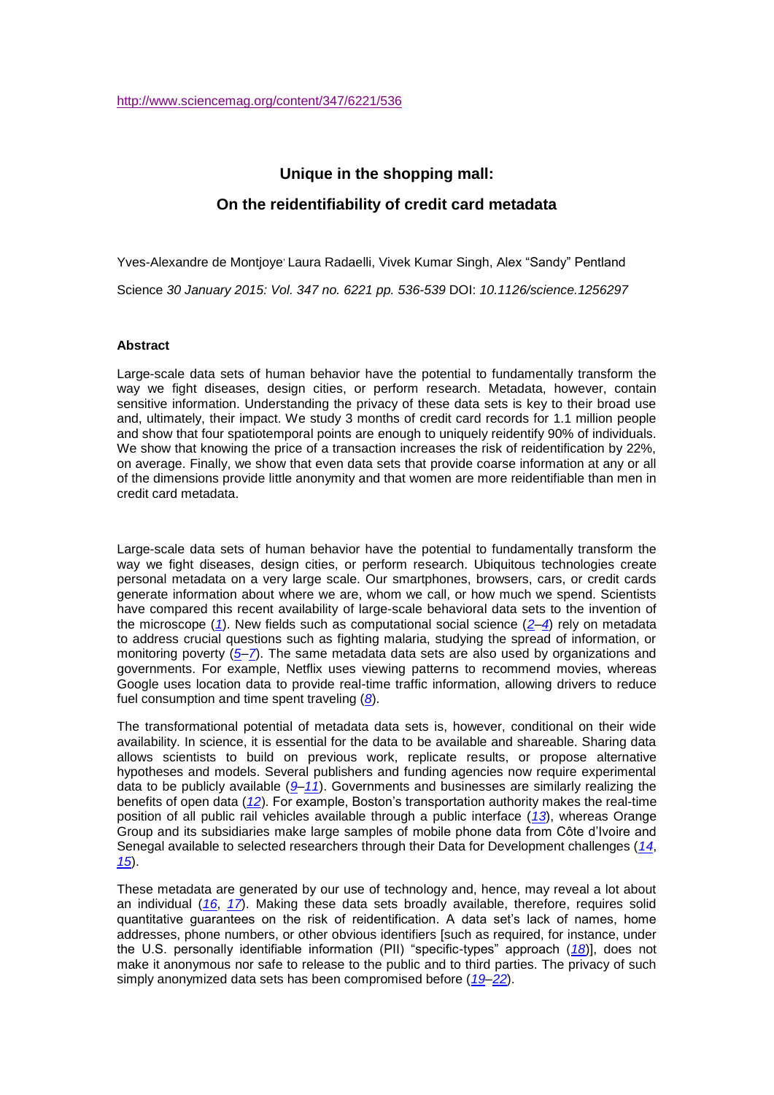## **Unique in the shopping mall: On the reidentifiability of credit card metadata**

Yves-Alexandre de Montjoye' Laura Radaelli, Vivek Kumar Singh, Alex "Sandy" Pentland

Science *30 January 2015: Vol. 347 no. 6221 pp. 536-539* DOI: *10.1126/science.1256297*

## **Abstract**

Large-scale data sets of human behavior have the potential to fundamentally transform the way we fight diseases, design cities, or perform research. Metadata, however, contain sensitive information. Understanding the privacy of these data sets is key to their broad use and, ultimately, their impact. We study 3 months of credit card records for 1.1 million people and show that four spatiotemporal points are enough to uniquely reidentify 90% of individuals. We show that knowing the price of a transaction increases the risk of reidentification by 22%, on average. Finally, we show that even data sets that provide coarse information at any or all of the dimensions provide little anonymity and that women are more reidentifiable than men in credit card metadata.

Large-scale data sets of human behavior have the potential to fundamentally transform the way we fight diseases, design cities, or perform research. Ubiquitous technologies create personal metadata on a very large scale. Our smartphones, browsers, cars, or credit cards generate information about where we are, whom we call, or how much we spend. Scientists have compared this recent availability of large-scale behavioral data sets to the invention of the microscope (*[1](http://www.sciencemag.org/content/347/6221/536.full#ref-1)*). New fields such as computational social science (*[2](http://www.sciencemag.org/content/347/6221/536.full#ref-2)*–*[4](http://www.sciencemag.org/content/347/6221/536.full#ref-4)*) rely on metadata to address crucial questions such as fighting malaria, studying the spread of information, or monitoring poverty (*[5](http://www.sciencemag.org/content/347/6221/536.full#ref-5)*–*[7](http://www.sciencemag.org/content/347/6221/536.full#ref-7)*). The same metadata data sets are also used by organizations and governments. For example, Netflix uses viewing patterns to recommend movies, whereas Google uses location data to provide real-time traffic information, allowing drivers to reduce fuel consumption and time spent traveling (*[8](http://www.sciencemag.org/content/347/6221/536.full#ref-8)*).

The transformational potential of metadata data sets is, however, conditional on their wide availability. In science, it is essential for the data to be available and shareable. Sharing data allows scientists to build on previous work, replicate results, or propose alternative hypotheses and models. Several publishers and funding agencies now require experimental data to be publicly available (*[9](http://www.sciencemag.org/content/347/6221/536.full#ref-9)*–*[11](http://www.sciencemag.org/content/347/6221/536.full#ref-11)*). Governments and businesses are similarly realizing the benefits of open data (*[12](http://www.sciencemag.org/content/347/6221/536.full#ref-12)*). For example, Boston's transportation authority makes the real-time position of all public rail vehicles available through a public interface (*[13](http://www.sciencemag.org/content/347/6221/536.full#ref-13)*), whereas Orange Group and its subsidiaries make large samples of mobile phone data from Côte d'Ivoire and Senegal available to selected researchers through their Data for Development challenges (*[14](http://www.sciencemag.org/content/347/6221/536.full#ref-14)*, *[15](http://www.sciencemag.org/content/347/6221/536.full#ref-15)*).

These metadata are generated by our use of technology and, hence, may reveal a lot about an individual (*[16](http://www.sciencemag.org/content/347/6221/536.full#ref-16)*, *[17](http://www.sciencemag.org/content/347/6221/536.full#ref-17)*). Making these data sets broadly available, therefore, requires solid quantitative guarantees on the risk of reidentification. A data set's lack of names, home addresses, phone numbers, or other obvious identifiers [such as required, for instance, under the U.S. personally identifiable information (PII) "specific-types" approach ([18](http://www.sciencemag.org/content/347/6221/536.full#ref-18))], does not make it anonymous nor safe to release to the public and to third parties. The privacy of such simply anonymized data sets has been compromised before (*[19](http://www.sciencemag.org/content/347/6221/536.full#ref-19)*–*[22](http://www.sciencemag.org/content/347/6221/536.full#ref-22)*).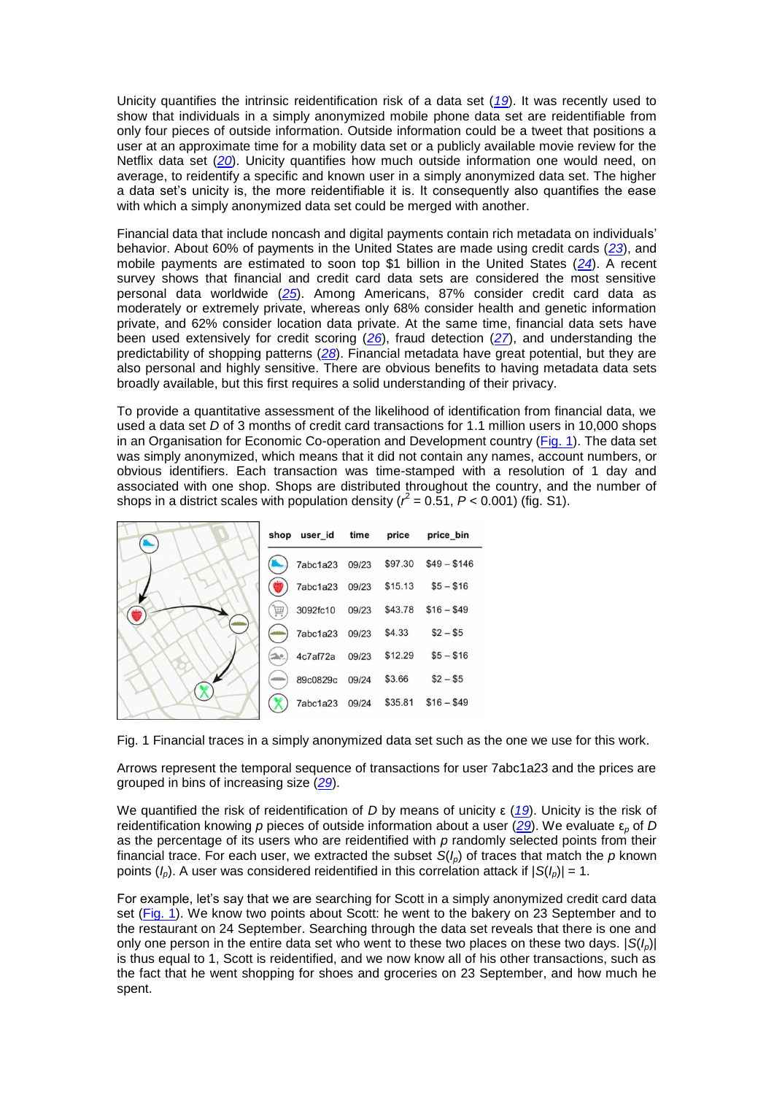Unicity quantifies the intrinsic reidentification risk of a data set (*[19](http://www.sciencemag.org/content/347/6221/536.full#ref-19)*). It was recently used to show that individuals in a simply anonymized mobile phone data set are reidentifiable from only four pieces of outside information. Outside information could be a tweet that positions a user at an approximate time for a mobility data set or a publicly available movie review for the Netflix data set (*[20](http://www.sciencemag.org/content/347/6221/536.full#ref-20)*). Unicity quantifies how much outside information one would need, on average, to reidentify a specific and known user in a simply anonymized data set. The higher a data set's unicity is, the more reidentifiable it is. It consequently also quantifies the ease with which a simply anonymized data set could be merged with another.

Financial data that include noncash and digital payments contain rich metadata on individuals' behavior. About 60% of payments in the United States are made using credit cards (*[23](http://www.sciencemag.org/content/347/6221/536.full#ref-23)*), and mobile payments are estimated to soon top \$1 billion in the United States (*[24](http://www.sciencemag.org/content/347/6221/536.full#ref-24)*). A recent survey shows that financial and credit card data sets are considered the most sensitive personal data worldwide (*[25](http://www.sciencemag.org/content/347/6221/536.full#ref-25)*). Among Americans, 87% consider credit card data as moderately or extremely private, whereas only 68% consider health and genetic information private, and 62% consider location data private. At the same time, financial data sets have been used extensively for credit scoring (*[26](http://www.sciencemag.org/content/347/6221/536.full#ref-26)*), fraud detection (*[27](http://www.sciencemag.org/content/347/6221/536.full#ref-27)*), and understanding the predictability of shopping patterns (*[28](http://www.sciencemag.org/content/347/6221/536.full#ref-28)*). Financial metadata have great potential, but they are also personal and highly sensitive. There are obvious benefits to having metadata data sets broadly available, but this first requires a solid understanding of their privacy.

To provide a quantitative assessment of the likelihood of identification from financial data, we used a data set *D* of 3 months of credit card transactions for 1.1 million users in 10,000 shops in an Organisation for Economic Co-operation and Development country [\(Fig. 1\)](http://www.sciencemag.org/content/347/6221/536.full#F1). The data set was simply anonymized, which means that it did not contain any names, account numbers, or obvious identifiers. Each transaction was time-stamped with a resolution of 1 day and associated with one shop. Shops are distributed throughout the country, and the number of shops in a district scales with population density  $(r^2 = 0.51, P < 0.001)$  (fig. S1).



Fig. 1 Financial traces in a simply anonymized data set such as the one we use for this work.

Arrows represent the temporal sequence of transactions for user 7abc1a23 and the prices are grouped in bins of increasing size (*[29](http://www.sciencemag.org/content/347/6221/536.full#ref-29)*).

We quantified the risk of reidentification of *D* by means of unicity ε (*[19](http://www.sciencemag.org/content/347/6221/536.full#ref-19)*). Unicity is the risk of reidentification knowing *p* pieces of outside information about a user  $(29)$  $(29)$  $(29)$ . We evaluate ε<sub>ρ</sub> of *D* as the percentage of its users who are reidentified with *p* randomly selected points from their financial trace. For each user, we extracted the subset *S*(*Ip*) of traces that match the *p* known points  $(I_n)$ . A user was considered reidentified in this correlation attack if  $|S(I_p)| = 1$ .

For example, let's say that we are searching for Scott in a simply anonymized credit card data set [\(Fig. 1\)](http://www.sciencemag.org/content/347/6221/536.full#F1). We know two points about Scott: he went to the bakery on 23 September and to the restaurant on 24 September. Searching through the data set reveals that there is one and only one person in the entire data set who went to these two places on these two days. |*S*(*Ip*)| is thus equal to 1, Scott is reidentified, and we now know all of his other transactions, such as the fact that he went shopping for shoes and groceries on 23 September, and how much he spent.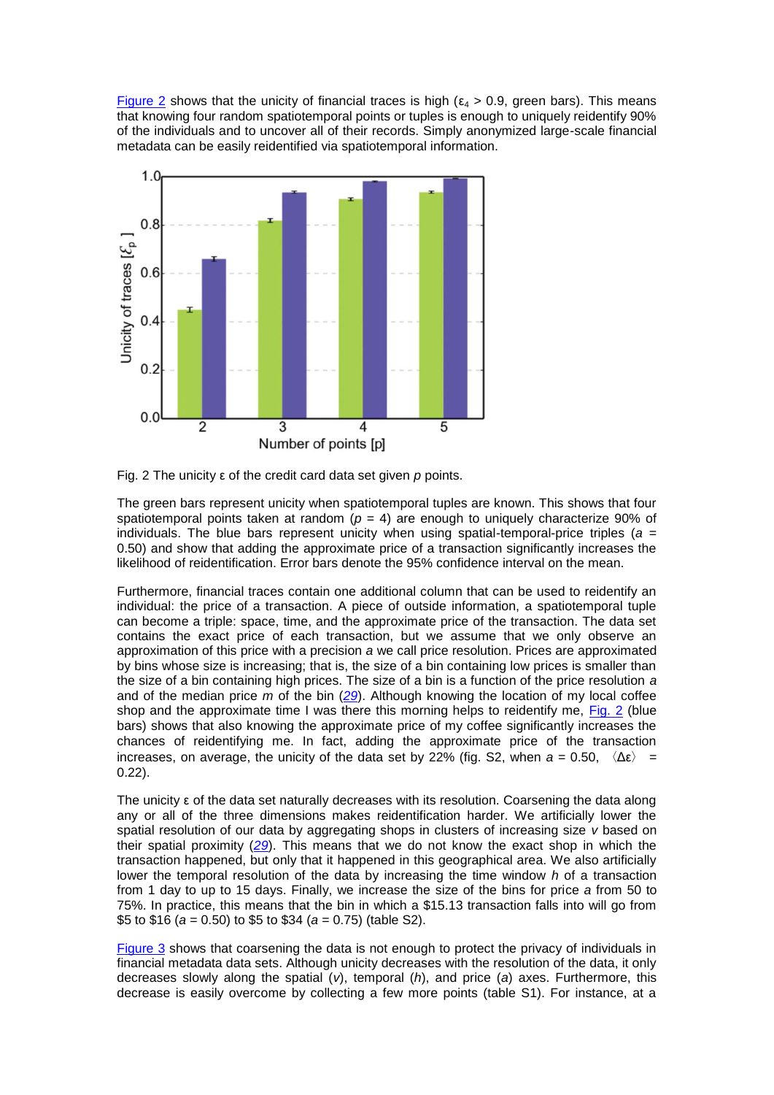[Figure 2](http://www.sciencemag.org/content/347/6221/536.full#F2) shows that the unicity of financial traces is high ( $\varepsilon_4 > 0.9$ , green bars). This means that knowing four random spatiotemporal points or tuples is enough to uniquely reidentify 90% of the individuals and to uncover all of their records. Simply anonymized large-scale financial metadata can be easily reidentified via spatiotemporal information.



Fig. 2 The unicity ε of the credit card data set given *p* points.

The green bars represent unicity when spatiotemporal tuples are known. This shows that four spatiotemporal points taken at random  $(p = 4)$  are enough to uniquely characterize 90% of individuals. The blue bars represent unicity when using spatial-temporal-price triples (*a* = 0.50) and show that adding the approximate price of a transaction significantly increases the likelihood of reidentification. Error bars denote the 95% confidence interval on the mean.

Furthermore, financial traces contain one additional column that can be used to reidentify an individual: the price of a transaction. A piece of outside information, a spatiotemporal tuple can become a triple: space, time, and the approximate price of the transaction. The data set contains the exact price of each transaction, but we assume that we only observe an approximation of this price with a precision *a* we call price resolution. Prices are approximated by bins whose size is increasing; that is, the size of a bin containing low prices is smaller than the size of a bin containing high prices. The size of a bin is a function of the price resolution *a* and of the median price *m* of the bin (*[29](http://www.sciencemag.org/content/347/6221/536.full#ref-29)*). Although knowing the location of my local coffee shop and the approximate time I was there this morning helps to reidentify me, [Fig. 2](http://www.sciencemag.org/content/347/6221/536.full#F2) (blue bars) shows that also knowing the approximate price of my coffee significantly increases the chances of reidentifying me. In fact, adding the approximate price of the transaction increases, on average, the unicity of the data set by 22% (fig. S2, when  $a = 0.50$ ,  $\langle \Delta \varepsilon \rangle =$ 0.22).

The unicity ε of the data set naturally decreases with its resolution. Coarsening the data along any or all of the three dimensions makes reidentification harder. We artificially lower the spatial resolution of our data by aggregating shops in clusters of increasing size *v* based on their spatial proximity (*[29](http://www.sciencemag.org/content/347/6221/536.full#ref-29)*). This means that we do not know the exact shop in which the transaction happened, but only that it happened in this geographical area. We also artificially lower the temporal resolution of the data by increasing the time window *h* of a transaction from 1 day to up to 15 days. Finally, we increase the size of the bins for price *a* from 50 to 75%. In practice, this means that the bin in which a \$15.13 transaction falls into will go from \$5 to \$16 (*a* = 0.50) to \$5 to \$34 (*a* = 0.75) (table S2).

[Figure 3](http://www.sciencemag.org/content/347/6221/536.full#F3) shows that coarsening the data is not enough to protect the privacy of individuals in financial metadata data sets. Although unicity decreases with the resolution of the data, it only decreases slowly along the spatial (*v*), temporal (*h*), and price (*a*) axes. Furthermore, this decrease is easily overcome by collecting a few more points (table S1). For instance, at a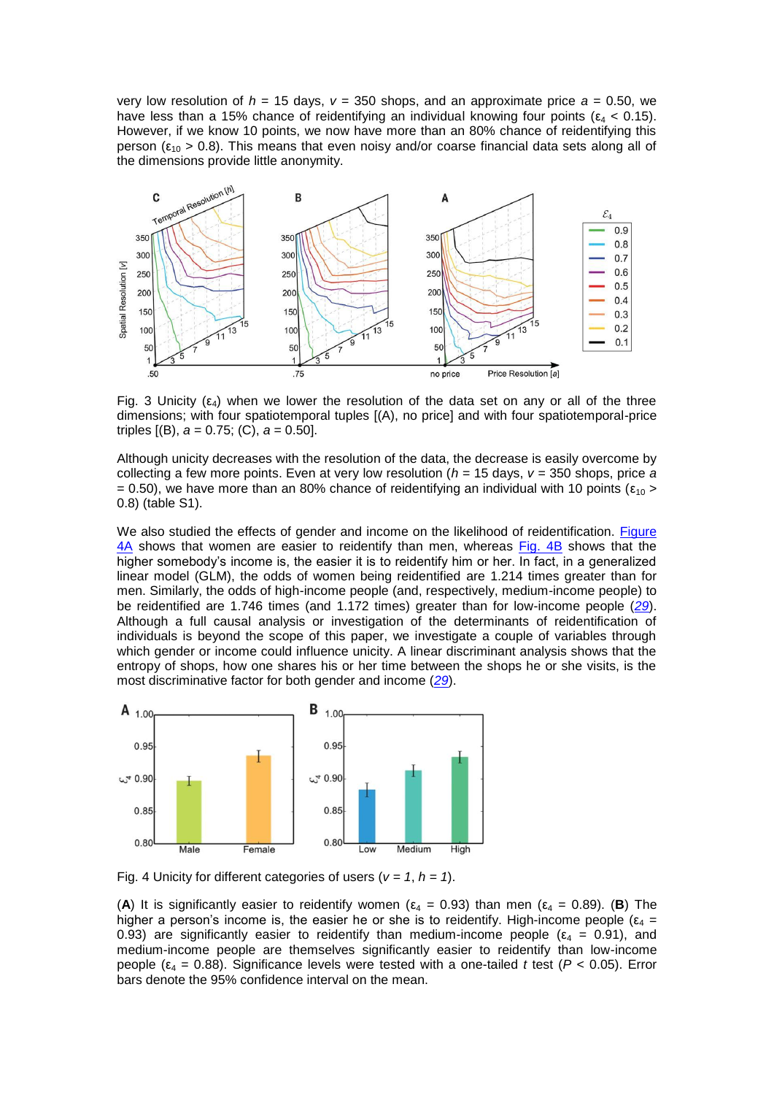very low resolution of  $h = 15$  days,  $v = 350$  shops, and an approximate price  $a = 0.50$ , we have less than a 15% chance of reidentifying an individual knowing four points ( $\varepsilon_4$  < 0.15). However, if we know 10 points, we now have more than an 80% chance of reidentifying this person ( $\varepsilon_{10}$  > 0.8). This means that even noisy and/or coarse financial data sets along all of the dimensions provide little anonymity.



Fig. 3 Unicity  $(\epsilon_4)$  when we lower the resolution of the data set on any or all of the three dimensions; with four spatiotemporal tuples [(A), no price] and with four spatiotemporal-price triples  $[(B), a = 0.75; (C), a = 0.50]$ .

Although unicity decreases with the resolution of the data, the decrease is easily overcome by collecting a few more points. Even at very low resolution (*h* = 15 days, *v* = 350 shops, price *a* = 0.50), we have more than an 80% chance of reidentifying an individual with 10 points ( $\varepsilon_{10}$  > 0.8) (table S1).

We also studied the effects of gender and income on the likelihood of reidentification. Figure [4A](http://www.sciencemag.org/content/347/6221/536.full#F4) shows that women are easier to reidentify than men, whereas [Fig. 4B](http://www.sciencemag.org/content/347/6221/536.full#F4) shows that the higher somebody's income is, the easier it is to reidentify him or her. In fact, in a generalized linear model (GLM), the odds of women being reidentified are 1.214 times greater than for men. Similarly, the odds of high-income people (and, respectively, medium-income people) to be reidentified are 1.746 times (and 1.172 times) greater than for low-income people (*[29](http://www.sciencemag.org/content/347/6221/536.full#ref-29)*). Although a full causal analysis or investigation of the determinants of reidentification of individuals is beyond the scope of this paper, we investigate a couple of variables through which gender or income could influence unicity. A linear discriminant analysis shows that the entropy of shops, how one shares his or her time between the shops he or she visits, is the most discriminative factor for both gender and income (*[29](http://www.sciencemag.org/content/347/6221/536.full#ref-29)*).



Fig. 4 Unicity for different categories of users ( $v = 1$ ,  $h = 1$ ).

(A) It is significantly easier to reidentify women ( $\varepsilon_4$  = 0.93) than men ( $\varepsilon_4$  = 0.89). (B) The higher a person's income is, the easier he or she is to reidentify. High-income people ( $\varepsilon_4$  = 0.93) are significantly easier to reidentify than medium-income people ( $\varepsilon_4$  = 0.91), and medium-income people are themselves significantly easier to reidentify than low-income people ( $\varepsilon_4$  = 0.88). Significance levels were tested with a one-tailed *t* test ( $P$  < 0.05). Error bars denote the 95% confidence interval on the mean.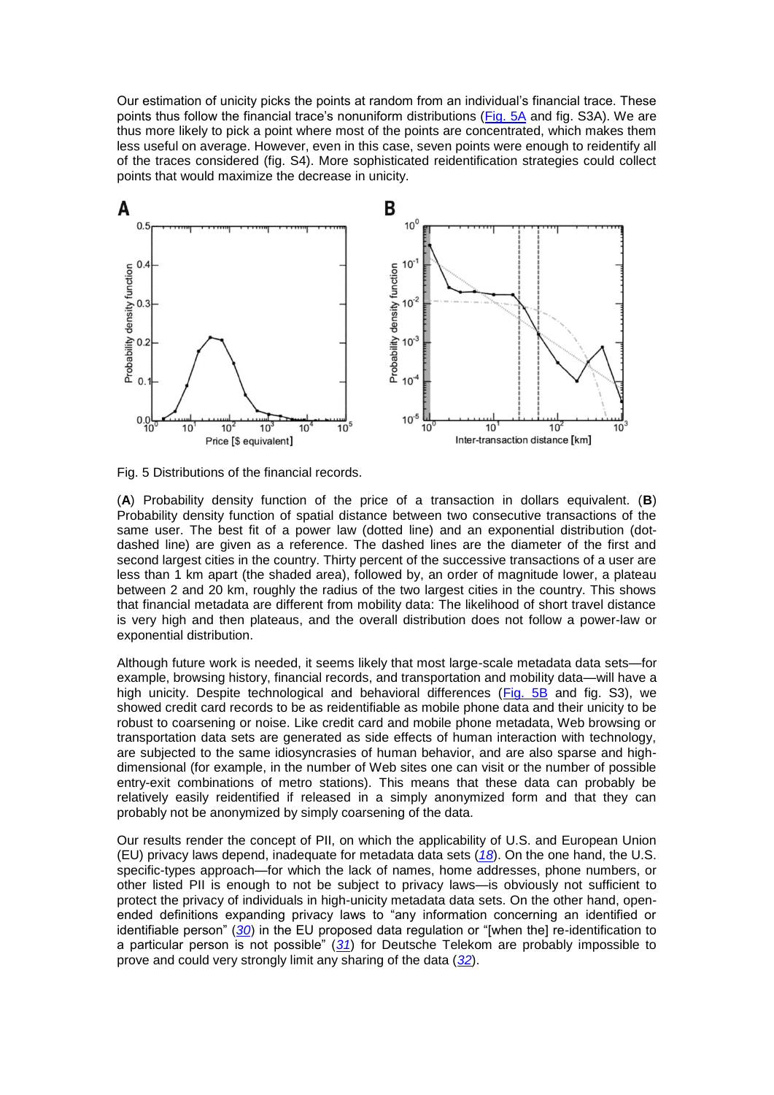Our estimation of unicity picks the points at random from an individual's financial trace. These points thus follow the financial trace's nonuniform distributions [\(Fig. 5A](http://www.sciencemag.org/content/347/6221/536.full#F5) and fig. S3A). We are thus more likely to pick a point where most of the points are concentrated, which makes them less useful on average. However, even in this case, seven points were enough to reidentify all of the traces considered (fig. S4). More sophisticated reidentification strategies could collect points that would maximize the decrease in unicity.



Fig. 5 Distributions of the financial records.

(**A**) Probability density function of the price of a transaction in dollars equivalent. (**B**) Probability density function of spatial distance between two consecutive transactions of the same user. The best fit of a power law (dotted line) and an exponential distribution (dotdashed line) are given as a reference. The dashed lines are the diameter of the first and second largest cities in the country. Thirty percent of the successive transactions of a user are less than 1 km apart (the shaded area), followed by, an order of magnitude lower, a plateau between 2 and 20 km, roughly the radius of the two largest cities in the country. This shows that financial metadata are different from mobility data: The likelihood of short travel distance is very high and then plateaus, and the overall distribution does not follow a power-law or exponential distribution.

Although future work is needed, it seems likely that most large-scale metadata data sets—for example, browsing history, financial records, and transportation and mobility data—will have a high unicity. Despite technological and behavioral differences [\(Fig. 5B](http://www.sciencemag.org/content/347/6221/536.full#F5) and fig. S3), we showed credit card records to be as reidentifiable as mobile phone data and their unicity to be robust to coarsening or noise. Like credit card and mobile phone metadata, Web browsing or transportation data sets are generated as side effects of human interaction with technology, are subjected to the same idiosyncrasies of human behavior, and are also sparse and highdimensional (for example, in the number of Web sites one can visit or the number of possible entry-exit combinations of metro stations). This means that these data can probably be relatively easily reidentified if released in a simply anonymized form and that they can probably not be anonymized by simply coarsening of the data.

Our results render the concept of PII, on which the applicability of U.S. and European Union (EU) privacy laws depend, inadequate for metadata data sets (*[18](http://www.sciencemag.org/content/347/6221/536.full#ref-18)*). On the one hand, the U.S. specific-types approach—for which the lack of names, home addresses, phone numbers, or other listed PII is enough to not be subject to privacy laws—is obviously not sufficient to protect the privacy of individuals in high-unicity metadata data sets. On the other hand, openended definitions expanding privacy laws to "any information concerning an identified or identifiable person" ([30](http://www.sciencemag.org/content/347/6221/536.full#ref-30)) in the EU proposed data regulation or "[when the] re-identification to a particular person is not possible‖ (*[31](http://www.sciencemag.org/content/347/6221/536.full#ref-31)*) for Deutsche Telekom are probably impossible to prove and could very strongly limit any sharing of the data (*[32](http://www.sciencemag.org/content/347/6221/536.full#ref-32)*).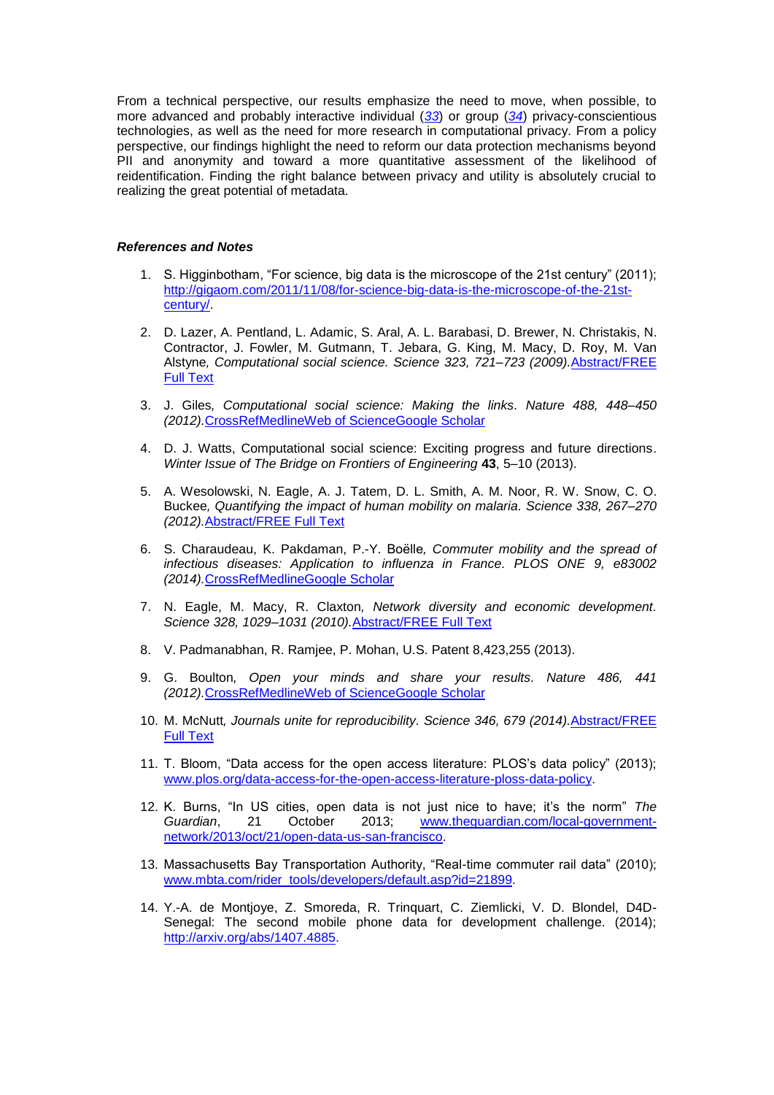From a technical perspective, our results emphasize the need to move, when possible, to more advanced and probably interactive individual (*[33](http://www.sciencemag.org/content/347/6221/536.full#ref-33)*) or group (*[34](http://www.sciencemag.org/content/347/6221/536.full#ref-34)*) privacy-conscientious technologies, as well as the need for more research in computational privacy. From a policy perspective, our findings highlight the need to reform our data protection mechanisms beyond PII and anonymity and toward a more quantitative assessment of the likelihood of reidentification. Finding the right balance between privacy and utility is absolutely crucial to realizing the great potential of metadata.

## *References and Notes*

- 1. S. Higginbotham, "For science, big data is the microscope of the 21st century" (2011); [http://gigaom.com/2011/11/08/for-science-big-data-is-the-microscope-of-the-21st](http://gigaom.com/2011/11/08/for-science-big-data-is-the-microscope-of-the-21st-century/)[century/.](http://gigaom.com/2011/11/08/for-science-big-data-is-the-microscope-of-the-21st-century/)
- 2. D. Lazer, A. Pentland, L. Adamic, S. Aral, A. L. Barabasi, D. Brewer, N. Christakis, N. Contractor, J. Fowler, M. Gutmann, T. Jebara, G. King, M. Macy, D. Roy, M. Van Alstyne*, Computational social science. Science 323, 721–723 (2009).*[Abstract/FREE](http://www.sciencemag.org/cgi/ijlink?linkType=ABST&journalCode=sci&resid=323/5915/721)  [Full Text](http://www.sciencemag.org/cgi/ijlink?linkType=ABST&journalCode=sci&resid=323/5915/721)
- 3. J. Giles*, Computational social science: Making the links. Nature 488, 448–450 (2012).*[CrossRefMedline](http://www.sciencemag.org/external-ref?access_num=10.1038/488448a&link_type=DOI)[Web of ScienceGoogle Scholar](http://www.sciencemag.org/external-ref?access_num=000307761600014&link_type=ISI)
- 4. D. J. Watts, Computational social science: Exciting progress and future directions. *Winter Issue of The Bridge on Frontiers of Engineering* **43**, 5–10 (2013).
- 5. A. Wesolowski, N. Eagle, A. J. Tatem, D. L. Smith, A. M. Noor, R. W. Snow, C. O. Buckee*, Quantifying the impact of human mobility on malaria. Science 338, 267–270 (2012).*[Abstract/FREE Full Text](http://www.sciencemag.org/cgi/ijlink?linkType=ABST&journalCode=sci&resid=338/6104/267)
- 6. S. Charaudeau, K. Pakdaman, P.-Y. Boëlle*, Commuter mobility and the spread of infectious diseases: Application to influenza in France. PLOS ONE 9, e83002 (2014).*[CrossRefMedline](http://www.sciencemag.org/external-ref?access_num=10.1371/journal.pone.0083002&link_type=DOI)[Google Scholar](http://scholar.google.com/scholar_lookup?author=S.%20Charaudeau&author=K.%20Pakdaman&author=P.-Y.%20Bo%C3%ABlle&publication_year=2014&journal=PLOS%20ONE&volume=9&pages=e83002&doi=10.1371%2Fjournal.pone.0083002&pmid=24416152)
- 7. N. Eagle, M. Macy, R. Claxton*, Network diversity and economic development. Science 328, 1029–1031 (2010).*[Abstract/FREE Full Text](http://www.sciencemag.org/cgi/ijlink?linkType=ABST&journalCode=sci&resid=328/5981/1029)
- 8. V. Padmanabhan, R. Ramjee, P. Mohan, U.S. Patent 8,423,255 (2013).
- 9. G. Boulton*, Open your minds and share your results. Nature 486, 441 (2012).*[CrossRefMedline](http://www.sciencemag.org/external-ref?access_num=10.1038/486441a&link_type=DOI)[Web of ScienceGoogle Scholar](http://www.sciencemag.org/external-ref?access_num=000305760600006&link_type=ISI)
- 10. M. McNutt*, Journals unite for reproducibility. Science 346, 679 (2014).*[Abstract/FREE](http://www.sciencemag.org/cgi/ijlink?linkType=ABST&journalCode=sci&resid=346/6210/679)  Full [Text](http://www.sciencemag.org/cgi/ijlink?linkType=ABST&journalCode=sci&resid=346/6210/679)
- 11. T. Bloom, "Data access for the open access literature: PLOS's data policy" (2013); [www.plos.org/data-access-for-the-open-access-literature-ploss-data-policy.](http://www.plos.org/data-access-for-the-open-access-literature-ploss-data-policy)
- 12. K. Burns, "In US cities, open data is not just nice to have; it's the norm" The *Guardian*, 21 October 2013; [www.theguardian.com/local-government](http://www.theguardian.com/local-government-network/2013/oct/21/open-data-us-san-francisco)[network/2013/oct/21/open-data-us-san-francisco.](http://www.theguardian.com/local-government-network/2013/oct/21/open-data-us-san-francisco)
- 13. Massachusetts Bay Transportation Authority, "Real-time commuter rail data" (2010); [www.mbta.com/rider\\_tools/developers/default.asp?id=21899.](http://www.mbta.com/rider_tools/developers/default.asp?id=21899)
- 14. Y.-A. de Montjoye, Z. Smoreda, R. Trinquart, C. Ziemlicki, V. D. Blondel, D4D-Senegal: The second mobile phone data for development challenge. (2014); [http://arxiv.org/abs/1407.4885.](http://arxiv.org/abs/1407.4885)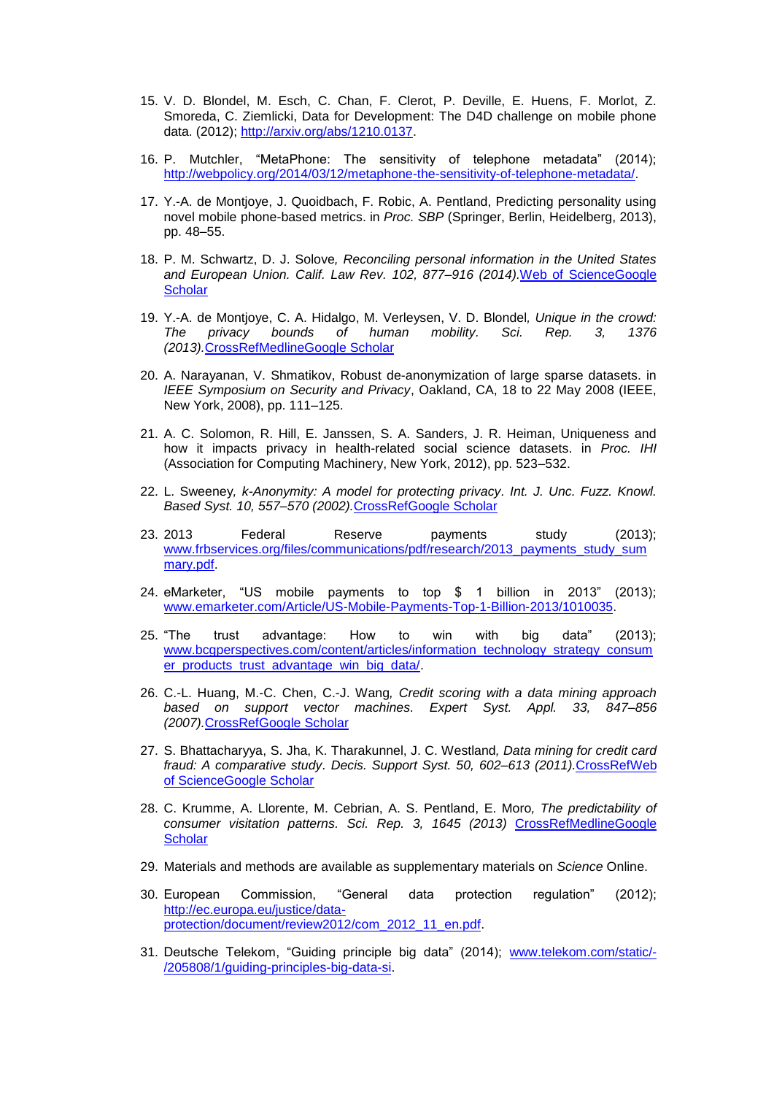- 15. V. D. Blondel, M. Esch, C. Chan, F. Clerot, P. Deville, E. Huens, F. Morlot, Z. Smoreda, C. Ziemlicki, Data for Development: The D4D challenge on mobile phone data. (2012); [http://arxiv.org/abs/1210.0137.](http://arxiv.org/abs/1210.0137)
- 16. P. Mutchler, "MetaPhone: The sensitivity of telephone metadata" (2014); [http://webpolicy.org/2014/03/12/metaphone-the-sensitivity-of-telephone-metadata/.](http://webpolicy.org/2014/03/12/metaphone-the-sensitivity-of-telephone-metadata/)
- 17. Y.-A. de Montjoye, J. Quoidbach, F. Robic, A. Pentland, Predicting personality using novel mobile phone-based metrics. in *Proc. SBP* (Springer, Berlin, Heidelberg, 2013), pp. 48–55.
- 18. P. M. Schwartz, D. J. Solove*, Reconciling personal information in the United States and European Union. Calif. Law Rev. 102, 877–916 (2014).*[Web of ScienceGoogle](http://www.sciencemag.org/external-ref?access_num=000344840300002&link_type=ISI)  **[Scholar](http://scholar.google.com/scholar_lookup?author=P.%20M.%20Schwartz&author=D.%20J.%20Solove&publication_year=2014&journal=Calif.%20Law%20Rev.&volume=102&pages=877-916)**
- 19. Y.-A. de Montjoye, C. A. Hidalgo, M. Verleysen, V. D. Blondel*, Unique in the crowd: The privacy bounds of human mobility. Sci. Rep. 3, 1376 (2013).*[CrossRefMedline](http://www.sciencemag.org/external-ref?access_num=10.1038/srep01376&link_type=DOI)[Google Scholar](http://scholar.google.com/scholar_lookup?author=Y.-A.%20de%20Montjoye&author=C.%20A.%20Hidalgo&author=M.%20Verleysen&author=V.%20D.%20Blondel&publication_year=2013&journal=Sci.%20Rep.&volume=3&pages=1376&doi=10.1038%2Fsrep01376&pmid=23524645)
- 20. A. Narayanan, V. Shmatikov, Robust de-anonymization of large sparse datasets. in *IEEE Symposium on Security and Privacy*, Oakland, CA, 18 to 22 May 2008 (IEEE, New York, 2008), pp. 111–125.
- 21. A. C. Solomon, R. Hill, E. Janssen, S. A. Sanders, J. R. Heiman, Uniqueness and how it impacts privacy in health-related social science datasets. in *Proc. IHI* (Association for Computing Machinery, New York, 2012), pp. 523–532.
- 22. L. Sweeney*, k-Anonymity: A model for protecting privacy. Int. J. Unc. Fuzz. Knowl. Based Syst. 10, 557–570 (2002).*[CrossRefGoogle Scholar](http://www.sciencemag.org/external-ref?access_num=10.1142/S0218488502001648&link_type=DOI)
- 23. 2013 Federal Reserve payments study (2013); [www.frbservices.org/files/communications/pdf/research/2013\\_payments\\_study\\_sum](http://www.frbservices.org/files/communications/pdf/research/2013_payments_study_summary.pdf) [mary.pdf.](http://www.frbservices.org/files/communications/pdf/research/2013_payments_study_summary.pdf)
- 24. eMarketer, "US mobile payments to top  $$ 1$  billion in 2013" (2013); [www.emarketer.com/Article/US-Mobile-Payments-Top-1-Billion-2013/1010035.](http://www.emarketer.com/Article/US-Mobile-Payments-Top-1-Billion-2013/1010035)
- 25. "The trust advantage: How to win with big data" (2013): [www.bcgperspectives.com/content/articles/information\\_technology\\_strategy\\_consum](http://www.bcgperspectives.com/content/articles/information_technology_strategy_consumer_products_trust_advantage_win_big_data/) [er\\_products\\_trust\\_advantage\\_win\\_big\\_data/.](http://www.bcgperspectives.com/content/articles/information_technology_strategy_consumer_products_trust_advantage_win_big_data/)
- 26. C.-L. Huang, M.-C. Chen, C.-J. Wang*, Credit scoring with a data mining approach based on support vector machines. Expert Syst. Appl. 33, 847–856 (2007).*[CrossRefGoogle Scholar](http://www.sciencemag.org/external-ref?access_num=10.1016/j.eswa.2006.07.007&link_type=DOI)
- 27. S. Bhattacharyya, S. Jha, K. Tharakunnel, J. C. Westland*, Data mining for credit card fraud: A comparative study. Decis. Support Syst. 50, 602–613 (2011).*[CrossRefWeb](http://www.sciencemag.org/external-ref?access_num=10.1016/j.dss.2010.08.008&link_type=DOI)  [of ScienceGoogle Scholar](http://www.sciencemag.org/external-ref?access_num=000286851400007&link_type=ISI)
- 28. C. Krumme, A. Llorente, M. Cebrian, A. S. Pentland, E. Moro*, The predictability of consumer visitation patterns. Sci. Rep. 3, 1645 (2013)* [CrossRefMedline](http://www.sciencemag.org/external-ref?access_num=10.1038/srep01645&link_type=DOI)[Google](http://scholar.google.com/scholar_lookup?author=C.%20Krumme&author=A.%20Llorente&author=M.%20Cebrian&author=A.%20S.%20Pentland&author=E.%20Moro&publication_year=2013&journal=Sci.%20Rep.&volume=3&pages=1645&doi=10.1038%2Fsrep01645&pmid=23598917)  **[Scholar](http://scholar.google.com/scholar_lookup?author=C.%20Krumme&author=A.%20Llorente&author=M.%20Cebrian&author=A.%20S.%20Pentland&author=E.%20Moro&publication_year=2013&journal=Sci.%20Rep.&volume=3&pages=1645&doi=10.1038%2Fsrep01645&pmid=23598917)**
- 29. Materials and methods are available as supplementary materials on *Science* Online.
- 30. European Commission, "General data protection regulation" (2012); [http://ec.europa.eu/justice/data](http://ec.europa.eu/justice/data-protection/document/review2012/com_2012_11_en.pdf)[protection/document/review2012/com\\_2012\\_11\\_en.pdf.](http://ec.europa.eu/justice/data-protection/document/review2012/com_2012_11_en.pdf)
- 31. Deutsche Telekom, "Guiding principle big data" (2014); [www.telekom.com/static/-](http://www.telekom.com/static/-/205808/1/guiding-principles-big-data-si) [/205808/1/guiding-principles-big-data-si.](http://www.telekom.com/static/-/205808/1/guiding-principles-big-data-si)